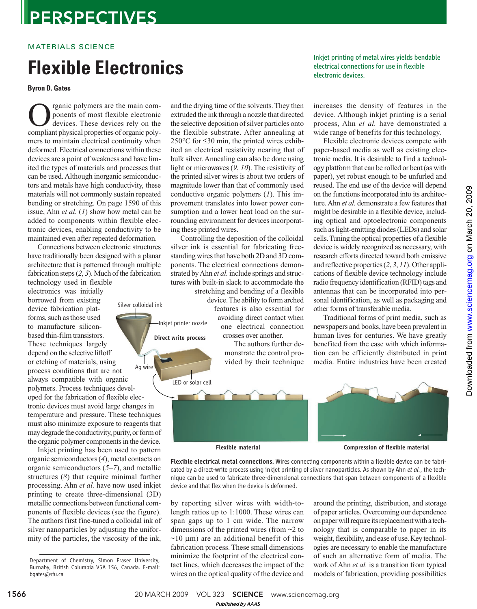### **PERSPECTIVES**

#### MATERIALS SCIENCE

## Flexible Electronic Section **Flexible**

**Byron D. Gates**

**COM** reganic polymers are the main components of most flexible electronic<br>devices. These devices rely on the<br>compliant physical properties of organic polyrganic polymers are the main components of most flexible electronic devices. These devices rely on the mers to maintain electrical continuity when deformed. Electrical connections within these devices are a point of weakness and have limited the types of materials and processes that can be used. Although inorganic semiconductors and metals have high conductivity, these materials will not commonly sustain repeated bending or stretching. On page 1590 of this issue, Ahn *et al.* (*1*) show how metal can be added to components within flexible electronic devices, enabling conductivity to be maintained even after repeated deformation.

Connections between electronic structures have traditionally been designed with a planar architecture that is patterned through multiple fabrication steps (*2*, *3*). Much of the fabrication technology used in flexible

electronics was initially borrowed from existing device fabrication platforms, such as those used to manufacture siliconbased thin-film transistors. These techniques largely depend on the selective liftoff or etching of materials, using process conditions that are not always compatible with organic polymers. Process techniques developed for the fabrication of flexible electronic devices must avoid large changes in temperature and pressure. These techniques must also minimize exposure to reagents that may degrade the conductivity, purity, or form of the organic polymer components in the device. Ag wire Silver colloidal ink

Inkjet printing has been used to pattern organic semiconductors (*4*), metal contacts on organic semiconductors (*5*–*7*), and metallic structures (*8*) that require minimal further processing. Ahn *et al.* have now used inkjet printing to create three-dimensional (3D) metallic connections between functional components of flexible devices (see the figure). The authors first fine-tuned a colloidal ink of silver nanoparticles by adjusting the uniformity of the particles, the viscosity of the ink, and the drying time of the solvents. They then extruded the ink through a nozzle that directed the selective deposition of silver particles onto the flexible substrate. After annealing at 250°C for ≤30 min, the printed wires exhibited an electrical resistivity nearing that of bulk silver. Annealing can also be done using light or microwaves (*9*, *10*). The resistivity of the printed silver wires is about two orders of magnitude lower than that of commonly used conductive organic polymers (*1*). This improvement translates into lower power consumption and a lower heat load on the surrounding environment for devices incorporating these printed wires.

Controlling the deposition of the colloidal silver ink is essential for fabricating freestanding wires that have both 2D and 3D components. The electrical connections demonstrated by Ahn *et al.* include springs and structures with built-in slack to accommodate the

Inkjet printer nozzle Direct write process

stretching and bending of a flexible device. The ability to form arched features is also essential for avoiding direct contact when one electrical connection crosses over another.

> The authors further demonstrate the control provided by their technique



increases the density of features in the device. Although inkjet printing is a serial process, Ahn *et al.* have demonstrated a wide range of benefits for this technology.

Flexible electronic devices compete with paper-based media as well as existing electronic media. It is desirable to find a technology platform that can be rolled or bent (as with paper), yet robust enough to be unfurled and reused. The end use of the device will depend on the functions incorporated into its architecture. Ahn *et al.* demonstrate a few features that might be desirable in a flexible device, including optical and optoelectronic components such as light-emitting diodes (LEDs) and solar cells. Tuning the optical properties of a flexible device is widely recognized as necessary, with research efforts directed toward both emissive and reflective properties (*2*, *3*, *11*). Other applications of flexible device technology include radio frequency identification (RFID) tags and antennas that can be incorporated into personal identification, as well as packaging and other forms of transferable media.

Traditional forms of print media, such as newspapers and books, have been prevalent in human lives for centuries. We have greatly benefited from the ease with which information can be efficiently distributed in print media. Entire industries have been created

LED or solar cell Flexible material Compression of flexible material

Flexible electrical metal connections. Wires connecting components within a flexible device can be fabricated by a direct-write process using inkjet printing of silver nanoparticles. As shown by Ahn *et al.*, the technique can be used to fabricate three-dimensional connections that span between components of a flexible device and that flex when the device is deformed.

by reporting silver wires with width-tolength ratios up to 1:1000. These wires can span gaps up to 1 cm wide. The narrow dimensions of the printed wires (from ~2 to  $\sim$ 10 µm) are an additional benefit of this fabrication process. These small dimensions minimize the footprint of the electrical contact lines, which decreases the impact of the wires on the optical quality of the device and around the printing, distribution, and storage of paper articles. Overcoming our dependence on paper will require its replacement with a technology that is comparable to paper in its weight, flexibility, and ease of use. Key technologies are necessary to enable the manufacture of such an alternative form of media. The work of Ahn *et al.* is a transition from typical models of fabrication, providing possibilities

1566 20 MARCH 2009 VOL 323 SCIENCE www.sciencemag.org *Published byAAAS*

Department of Chemistry, Simon Fraser University, Burnaby, British Columbia V5A 1S6, Canada. E-mail: bgates@sfu.ca